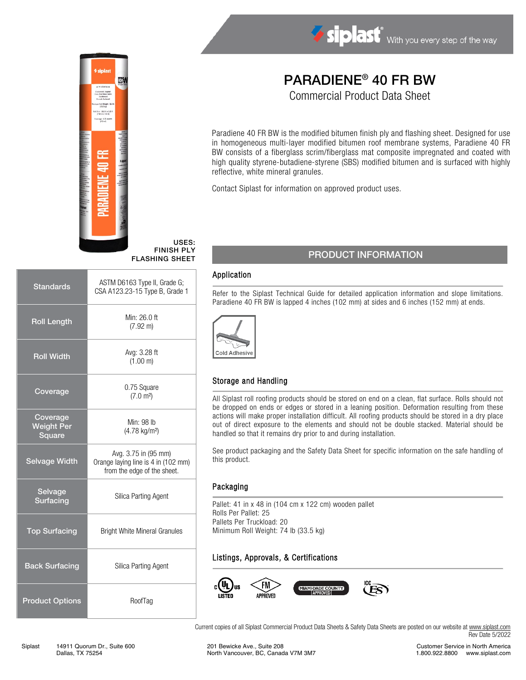



USES: FINISH PLY FLASHING SHEET

| <b>Standards</b>                        | ASTM D6163 Type II, Grade G;<br>CSA A123.23-15 Type B, Grade 1                             |  |  |
|-----------------------------------------|--------------------------------------------------------------------------------------------|--|--|
| <b>Roll Length</b>                      | Min: 26.0 ft<br>$(7.92 \text{ m})$                                                         |  |  |
| <b>Roll Width</b>                       | Avg: 3.28 ft<br>(1.00 m)                                                                   |  |  |
| Coverage                                | 0.75 Square<br>(7.0 m <sup>2</sup> )                                                       |  |  |
| Coverage<br><b>Weight Per</b><br>Square | Min: 98 lb<br>(4.78 kg/m <sup>2</sup> )                                                    |  |  |
| <b>Selvage Width</b>                    | Avg. 3.75 in (95 mm)<br>Orange laying line is 4 in (102 mm)<br>from the edge of the sheet. |  |  |
| Selvage<br><b>Surfacing</b>             | Silica Parting Agent                                                                       |  |  |
| <b>Top Surfacing</b>                    | <b>Bright White Mineral Granules</b>                                                       |  |  |
| <b>Back Surfacing</b>                   | Silica Parting Agent                                                                       |  |  |
| <b>Product Options</b>                  | RoofTag                                                                                    |  |  |

# PARADIENE® 40 FR BW

Commercial Product Data Sheet

Paradiene 40 FR BW is the modified bitumen finish ply and flashing sheet. Designed for use in homogeneous multi-layer modified bitumen roof membrane systems, Paradiene 40 FR BW consists of a fiberglass scrim/fiberglass mat composite impregnated and coated with high quality styrene-butadiene-styrene (SBS) modified bitumen and is surfaced with highly reflective, white mineral granules.

Contact Siplast for information on approved product uses.

### PRODUCT INFORMATION

#### Application

Refer to the Siplast Technical Guide for detailed application information and slope limitations. Paradiene 40 FR BW is lapped 4 inches (102 mm) at sides and 6 inches (152 mm) at ends.



#### Storage and Handling

All Siplast roll roofing products should be stored on end on a clean, flat surface. Rolls should not be dropped on ends or edges or stored in a leaning position. Deformation resulting from these actions will make proper installation difficult. All roofing products should be stored in a dry place out of direct exposure to the elements and should not be double stacked. Material should be handled so that it remains dry prior to and during installation.

See product packaging and the Safety Data Sheet for specific information on the safe handling of this product.

#### Packaging

Pallet: 41 in x 48 in (104 cm x 122 cm) wooden pallet Rolls Per Pallet: 25 Pallets Per Truckload: 20 Minimum Roll Weight: 74 lb (33.5 kg)

#### Listings, Approvals, & Certifications



Current copies of all Siplast Commercial Product Data Sheets & Safety Data Sheets are posted on our website a[t www.siplast.com](http://www.siplast.com/) Rev Date 5/2022